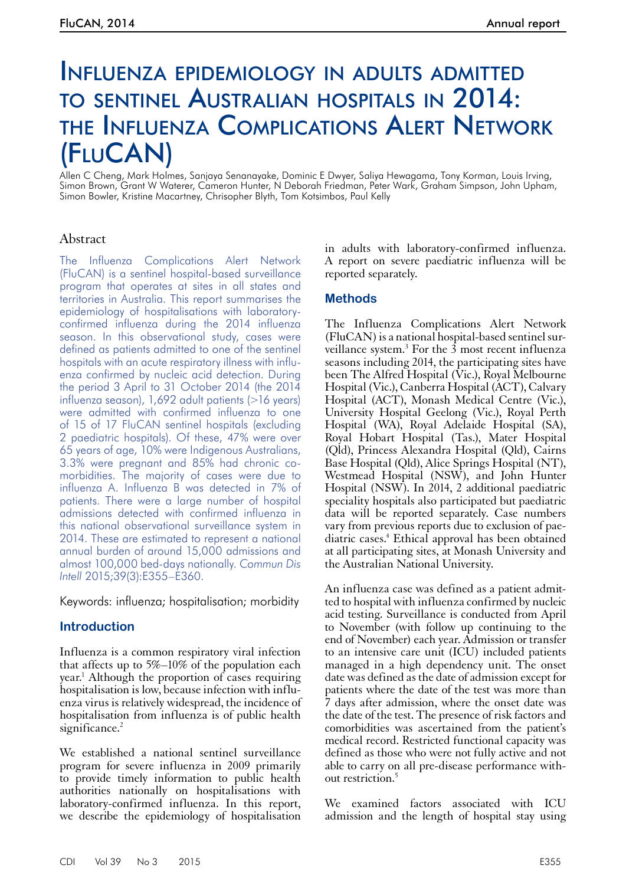# Influenza epidemiology in adults admitted to sentinel Australian hospitals in 2014: the Influenza Complications Alert Network (FluCAN)

Allen C Cheng, Mark Holmes, Sanjaya Senanayake, Dominic E Dwyer, Saliya Hewagama, Tony Korman, Louis Irving, Simon Brown, Grant W Waterer, Cameron Hunter, N Deborah Friedman, Peter Wark, Graham Simpson, John Upham, Simon Bowler, Kristine Macartney, Chrisopher Blyth, Tom Kotsimbos, Paul Kelly

## Abstract

The Influenza Complications Alert Network (FluCAN) is a sentinel hospital-based surveillance program that operates at sites in all states and territories in Australia. This report summarises the epidemiology of hospitalisations with laboratoryconfirmed influenza during the 2014 influenza season. In this observational study, cases were defined as patients admitted to one of the sentinel hospitals with an acute respiratory illness with influenza confirmed by nucleic acid detection. During the period 3 April to 31 October 2014 (the 2014 influenza season), 1,692 adult patients (>16 years) were admitted with confirmed influenza to one of 15 of 17 FluCAN sentinel hospitals (excluding 2 paediatric hospitals). Of these, 47% were over 65 years of age, 10% were Indigenous Australians, 3.3% were pregnant and 85% had chronic comorbidities. The majority of cases were due to influenza A. Influenza B was detected in 7% of patients. There were a large number of hospital admissions detected with confirmed influenza in this national observational surveillance system in 2014. These are estimated to represent a national annual burden of around 15,000 admissions and almost 100,000 bed-days nationally. *Commun Dis Intell* 2015;39(3):E355–E360.

Keywords: influenza; hospitalisation; morbidity

# **Introduction**

Influenza is a common respiratory viral infection that affects up to 5%–10% of the population each year.1 Although the proportion of cases requiring hospitalisation is low, because infection with influenza virus is relatively widespread, the incidence of hospitalisation from influenza is of public health significance.<sup>2</sup>

We established a national sentinel surveillance program for severe influenza in 2009 primarily to provide timely information to public health authorities nationally on hospitalisations with laboratory-confirmed influenza. In this report, we describe the epidemiology of hospitalisation in adults with laboratory-confirmed influenza. A report on severe paediatric influenza will be reported separately.

## **Methods**

The Influenza Complications Alert Network (FluCAN) is a national hospital-based sentinel surveillance system.<sup>3</sup> For the  $\overline{3}$  most recent influenza seasons including 2014, the participating sites have been The Alfred Hospital (Vic.), Royal Melbourne Hospital (Vic.), Canberra Hospital (ACT), Calvary Hospital (ACT), Monash Medical Centre (Vic.), University Hospital Geelong (Vic.), Royal Perth Hospital (WA), Royal Adelaide Hospital (SA), Royal Hobart Hospital (Tas.), Mater Hospital (Qld), Princess Alexandra Hospital (Qld), Cairns Base Hospital (Qld), Alice Springs Hospital (NT), Westmead Hospital (NSW), and John Hunter Hospital (NSW). In 2014, 2 additional paediatric speciality hospitals also participated but paediatric data will be reported separately. Case numbers vary from previous reports due to exclusion of paediatric cases.<sup>4</sup> Ethical approval has been obtained at all participating sites, at Monash University and the Australian National University.

An influenza case was defined as a patient admit- ted to hospital with influenza confirmed by nucleic acid testing. Surveillance is conducted from April to November (with follow up continuing to the end of November) each year. Admission or transfer to an intensive care unit (ICU) included patients managed in a high dependency unit. The onset date was defined as the date of admission except for patients where the date of the test was more than 7 days after admission, where the onset date was the date of the test. The presence of risk factors and comorbidities was ascertained from the patient's medical record. Restricted functional capacity was defined as those who were not fully active and not able to carry on all pre-disease performance without restriction.5

We examined factors associated with ICU admission and the length of hospital stay using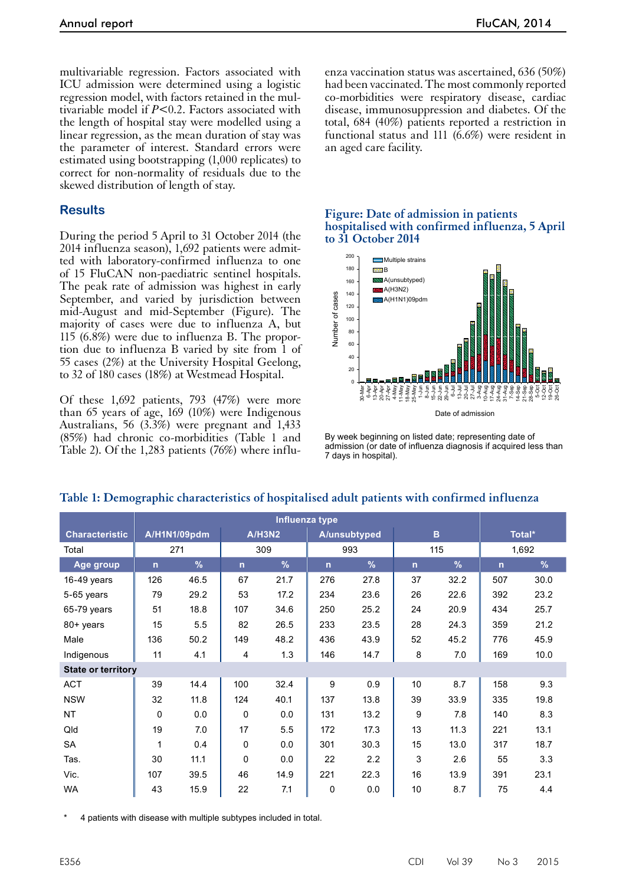multivariable regression. Factors associated with ICU admission were determined using a logistic regression model, with factors retained in the multivariable model if *P*<0.2. Factors associated with the length of hospital stay were modelled using a linear regression, as the mean duration of stay was the parameter of interest. Standard errors were estimated using bootstrapping (1,000 replicates) to correct for non-normality of residuals due to the skewed distribution of length of stay.

## **Results**

During the period 5 April to 31 October 2014 (the 2014 influenza season), 1,692 patients were admitted with laboratory-confirmed influenza to one of 15 FluCAN non-paediatric sentinel hospitals. The peak rate of admission was highest in early September, and varied by jurisdiction between mid-August and mid-September (Figure). The majority of cases were due to influenza A, but 115 (6.8%) were due to influenza B. The proportion due to influenza B varied by site from 1 of 55 cases (2%) at the University Hospital Geelong, to 32 of 180 cases (18%) at Westmead Hospital.

Of these 1,692 patients, 793 (47%) were more than 65 years of age, 169 (10%) were Indigenous Australians, 56 (3.3%) were pregnant and 1,433 (85%) had chronic co-morbidities (Table 1 and Table 2). Of the 1,283 patients (76%) where influenza vaccination status was ascertained, 636 (50%) had been vaccinated. The most commonly reported co-morbidities were respiratory disease, cardiac disease, immunosuppression and diabetes. Of the total, 684 (40%) patients reported a restriction in functional status and 111 ( $\overline{6.6\%}$ ) were resident in an aged care facility.

#### **Figure: Date of admission in patients hospitalised with confirmed influenza, 5 April to 31 October 2014**



By week beginning on listed date; representing date of admission (or date of influenza diagnosis if acquired less than 7 days in hospital).

|                           | Influenza type |               |              |               |              |               |              |               |        |      |
|---------------------------|----------------|---------------|--------------|---------------|--------------|---------------|--------------|---------------|--------|------|
| <b>Characteristic</b>     | A/H1N1/09pdm   |               | A/H3N2       |               | A/unsubtyped |               | B            |               | Total* |      |
| Total                     | 271            |               | 309          |               | 993          |               | 115          |               | 1,692  |      |
| Age group                 | $\mathsf{n}$   | $\frac{9}{6}$ | $\mathsf{n}$ | $\frac{9}{6}$ | $\mathsf{n}$ | $\frac{9}{6}$ | $\mathsf{n}$ | $\frac{9}{6}$ | n      | %    |
| 16-49 years               | 126            | 46.5          | 67           | 21.7          | 276          | 27.8          | 37           | 32.2          | 507    | 30.0 |
| 5-65 years                | 79             | 29.2          | 53           | 17.2          | 234          | 23.6          | 26           | 22.6          | 392    | 23.2 |
| 65-79 years               | 51             | 18.8          | 107          | 34.6          | 250          | 25.2          | 24           | 20.9          | 434    | 25.7 |
| 80+ years                 | 15             | 5.5           | 82           | 26.5          | 233          | 23.5          | 28           | 24.3          | 359    | 21.2 |
| Male                      | 136            | 50.2          | 149          | 48.2          | 436          | 43.9          | 52           | 45.2          | 776    | 45.9 |
| Indigenous                | 11             | 4.1           | 4            | 1.3           | 146          | 14.7          | 8            | 7.0           | 169    | 10.0 |
| <b>State or territory</b> |                |               |              |               |              |               |              |               |        |      |
| <b>ACT</b>                | 39             | 14.4          | 100          | 32.4          | 9            | 0.9           | 10           | 8.7           | 158    | 9.3  |
| <b>NSW</b>                | 32             | 11.8          | 124          | 40.1          | 137          | 13.8          | 39           | 33.9          | 335    | 19.8 |
| <b>NT</b>                 | $\mathbf 0$    | 0.0           | $\mathbf 0$  | 0.0           | 131          | 13.2          | 9            | 7.8           | 140    | 8.3  |
| Qld                       | 19             | 7.0           | 17           | 5.5           | 172          | 17.3          | 13           | 11.3          | 221    | 13.1 |
| SA                        | 1              | 0.4           | 0            | 0.0           | 301          | 30.3          | 15           | 13.0          | 317    | 18.7 |
| Tas.                      | 30             | 11.1          | $\Omega$     | 0.0           | 22           | 2.2           | 3            | 2.6           | 55     | 3.3  |
| Vic.                      | 107            | 39.5          | 46           | 14.9          | 221          | 22.3          | 16           | 13.9          | 391    | 23.1 |
| WA                        | 43             | 15.9          | 22           | 7.1           | 0            | 0.0           | 10           | 8.7           | 75     | 4.4  |

# **Table 1: Demographic characteristics of hospitalised adult patients with confirmed influenza**

4 patients with disease with multiple subtypes included in total.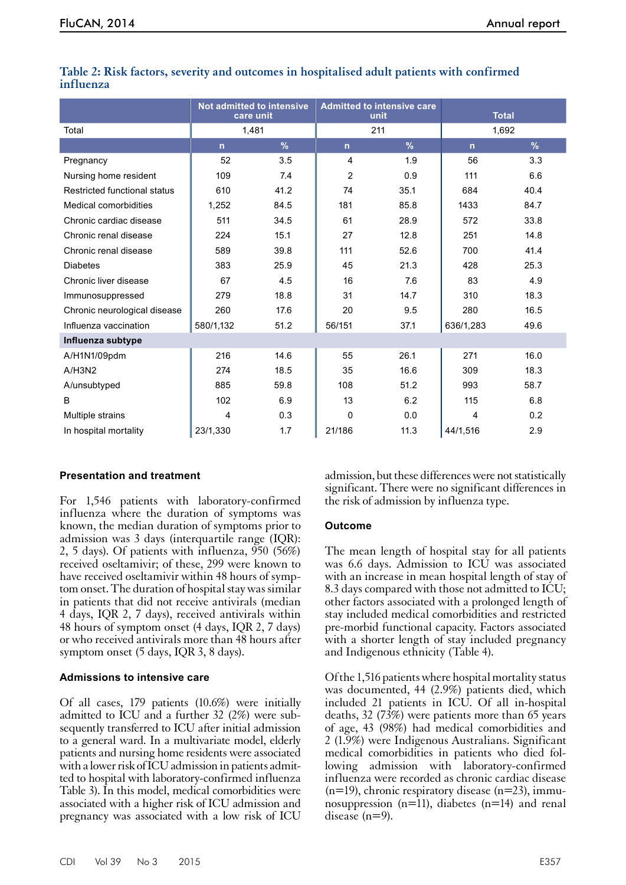|                              | <b>Not admitted to intensive</b><br>care unit |      | <b>Admitted to intensive care</b><br>unit |      | <b>Total</b>   |      |  |
|------------------------------|-----------------------------------------------|------|-------------------------------------------|------|----------------|------|--|
| Total                        | 1,481                                         |      | 211                                       |      | 1,692          |      |  |
|                              | n                                             | $\%$ | $\mathsf{n}$                              | $\%$ | $\overline{n}$ | %    |  |
| Pregnancy                    | 52                                            | 3.5  | 4                                         | 1.9  | 56             | 3.3  |  |
| Nursing home resident        | 109                                           | 7.4  | $\overline{2}$                            | 0.9  | 111            | 6.6  |  |
| Restricted functional status | 610                                           | 41.2 | 74                                        | 35.1 | 684            | 40.4 |  |
| <b>Medical comorbidities</b> | 1,252                                         | 84.5 | 181                                       | 85.8 | 1433           | 84.7 |  |
| Chronic cardiac disease      | 511                                           | 34.5 | 61                                        | 28.9 | 572            | 33.8 |  |
| Chronic renal disease        | 224                                           | 15.1 | 27                                        | 12.8 | 251            | 14.8 |  |
| Chronic renal disease        | 589                                           | 39.8 | 111                                       | 52.6 | 700            | 41.4 |  |
| <b>Diabetes</b>              | 383                                           | 25.9 | 45                                        | 21.3 | 428            | 25.3 |  |
| Chronic liver disease        | 67                                            | 4.5  | 16                                        | 7.6  | 83             | 4.9  |  |
| Immunosuppressed             | 279                                           | 18.8 | 31                                        | 14.7 | 310            | 18.3 |  |
| Chronic neurological disease | 260                                           | 17.6 | 20                                        | 9.5  | 280            | 16.5 |  |
| Influenza vaccination        | 580/1,132                                     | 51.2 | 56/151                                    | 37.1 | 636/1,283      | 49.6 |  |
| Influenza subtype            |                                               |      |                                           |      |                |      |  |
| A/H1N1/09pdm                 | 216                                           | 14.6 | 55                                        | 26.1 | 271            | 16.0 |  |
| A/H3N2                       | 274                                           | 18.5 | 35                                        | 16.6 | 309            | 18.3 |  |
| A/unsubtyped                 | 885                                           | 59.8 | 108                                       | 51.2 | 993            | 58.7 |  |
| B                            | 102                                           | 6.9  | 13                                        | 6.2  | 115            | 6.8  |  |
| Multiple strains             | 4                                             | 0.3  | $\mathbf 0$                               | 0.0  | 4              | 0.2  |  |
| In hospital mortality        | 23/1,330                                      | 1.7  | 21/186                                    | 11.3 | 44/1,516       | 2.9  |  |

#### **Table 2: Risk factors, severity and outcomes in hospitalised adult patients with confirmed influenza**

## **Presentation and treatment**

For 1,546 patients with laboratory-confirmed influenza where the duration of symptoms was known, the median duration of symptoms prior to admission was 3 days (interquartile range (IQR): 2, 5 days). Of patients with influenza, 950 (56%) received oseltamivir; of these, 299 were known to have received oseltamivir within 48 hours of symptom onset. The duration of hospital stay was similar in patients that did not receive antivirals (median 4 days, IQR 2, 7 days), received antivirals within 48 hours of symptom onset (4 days, IQR 2, 7 days) or who received antivirals more than 48 hours after symptom onset (5 days, IQR 3, 8 days).

#### **Admissions to intensive care**

Of all cases, 179 patients (10.6%) were initially admitted to ICU and a further 32 (2%) were sub-<br>sequently transferred to ICU after initial admission to a general ward. In a multivariate model, elderly patients and nursing home residents were associated with a lower risk of ICU admission in patients admitted to hospital with laboratory-confirmed influenza Table 3). In this model, medical comorbidities were associated with a higher risk of ICU admission and pregnancy was associated with a low risk of ICU

admission, but these differences were not statistically significant. There were no significant differences in the risk of admission by influenza type.

#### **Outcome**

The mean length of hospital stay for all patients was 6.6 days. Admission to ICU was associated with an increase in mean hospital length of stay of 8.3 days compared with those not admitted to ICU; other factors associated with a prolonged length of stay included medical comorbidities and restricted pre-morbid functional capacity. Factors associated with a shorter length of stay included pregnancy and Indigenous ethnicity (Table 4).

Of the 1,516 patients where hospital mortality status was documented, 44 (2.9%) patients died, which included 21 patients in ICU. Of all in-hospital deaths, 32 (7 $3\%$ ) were patients more than 65 years of age, 43 (98%) had medical comorbidities and 2 (1.9%) were Indigenous Australians. Significant medical comorbidities in patients who died following admission with laboratory-confirmed influenza were recorded as chronic cardiac disease  $(n=19)$ , chronic respiratory disease  $(n=23)$ , immunosuppression  $(n=11)$ , diabetes  $(n=14)$  and renal disease (n=9).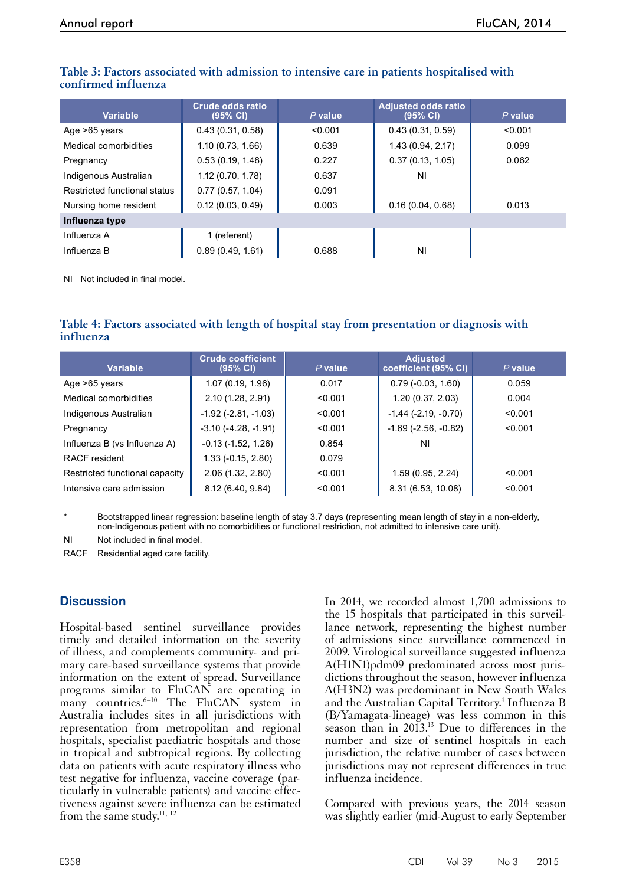| Variable                     | <b>Crude odds ratio</b><br>(95% CI) | $P$ value | <b>Adjusted odds ratio</b><br>(95% CI) | $P$ value |  |  |  |
|------------------------------|-------------------------------------|-----------|----------------------------------------|-----------|--|--|--|
| Age >65 years                | 0.43(0.31, 0.58)                    | < 0.001   | 0.43(0.31, 0.59)                       | < 0.001   |  |  |  |
| Medical comorbidities        | 1.10(0.73, 1.66)                    | 0.639     | 1.43 (0.94, 2.17)                      | 0.099     |  |  |  |
| Pregnancy                    | 0.53(0.19, 1.48)                    | 0.227     | 0.37(0.13, 1.05)                       | 0.062     |  |  |  |
| Indigenous Australian        | 1.12(0.70, 1.78)                    | 0.637     | ΝI                                     |           |  |  |  |
| Restricted functional status | 0.77(0.57, 1.04)                    | 0.091     |                                        |           |  |  |  |
| Nursing home resident        | 0.12(0.03, 0.49)                    | 0.003     | 0.16(0.04, 0.68)                       | 0.013     |  |  |  |
| Influenza type               |                                     |           |                                        |           |  |  |  |
| Influenza A                  | 1 (referent)                        |           |                                        |           |  |  |  |
| Influenza B                  | 0.89(0.49, 1.61)                    | 0.688     | ΝI                                     |           |  |  |  |

## **Table 3: Factors associated with admission to intensive care in patients hospitalised with confirmed influenza**

NI Not included in final model.

## **Table 4: Factors associated with length of hospital stay from presentation or diagnosis with influenza**

| <b>Variable</b>                | <b>Crude coefficient</b><br>$(95% \text{ Cl})$ | $P$ value | <b>Adjusted</b><br>coefficient (95% CI) | $P$ value |
|--------------------------------|------------------------------------------------|-----------|-----------------------------------------|-----------|
| Age >65 years                  | 1.07 (0.19, 1.96)                              | 0.017     | $0.79(-0.03, 1.60)$                     | 0.059     |
| Medical comorbidities          | 2.10(1.28, 2.91)                               | < 0.001   | 1.20(0.37, 2.03)                        | 0.004     |
| Indigenous Australian          | $-1.92$ ( $-2.81$ , $-1.03$ )                  | < 0.001   | $-1.44$ $(-2.19, -0.70)$                | < 0.001   |
| Pregnancy                      | $-3.10(-4.28, -1.91)$                          | < 0.001   | $-1.69$ ( $-2.56$ , $-0.82$ )           | < 0.001   |
| Influenza B (vs Influenza A)   | $-0.13$ $(-1.52, 1.26)$                        | 0.854     | ΝI                                      |           |
| RACF resident                  | $1.33(-0.15, 2.80)$                            | 0.079     |                                         |           |
| Restricted functional capacity | 2.06 (1.32, 2.80)                              | < 0.001   | 1.59 (0.95, 2.24)                       | < 0.001   |
| Intensive care admission       | 8.12 (6.40, 9.84)                              | < 0.001   | 8.31 (6.53, 10.08)                      | < 0.001   |

Bootstrapped linear regression: baseline length of stay 3.7 days (representing mean length of stay in a non-elderly, non-Indigenous patient with no comorbidities or functional restriction, not admitted to intensive care unit).

NI Not included in final model.

RACF Residential aged care facility.

# **Discussion**

Hospital-based sentinel surveillance provides timely and detailed information on the severity of illness, and complements community- and primary care-based surveillance systems that provide information on the extent of spread. Surveillance programs similar to FluCAN are operating in many countries. $6-10$  The FluCAN system in Australia includes sites in all jurisdictions with representation from metropolitan and regional hospitals, specialist paediatric hospitals and those in tropical and subtropical regions. By collecting data on patients with acute respiratory illness who test negative for influenza, vaccine coverage (particularly in vulnerable patients) and vaccine effectiveness against severe influenza can be estimated from the same study.<sup>11, 12</sup>

In 2014, we recorded almost 1,700 admissions to the 15 hospitals that participated in this surveillance network, representing the highest number of admissions since surveillance commenced in 2009. Virological surveillance suggested influenza A(H1N1)pdm09 predominated across most jurisdictions throughout the season, however influenza A(H3N2) was predominant in New South Wales and the Australian Capital Territory.<sup>4</sup> Influenza B (B/Yamagata-lineage) was less common in this season than in 2013.<sup>13</sup> Due to differences in the number and size of sentinel hospitals in each jurisdiction, the relative number of cases between jurisdictions may not represent differences in true influenza incidence.

Compared with previous years, the 2014 season was slightly earlier (mid-August to early September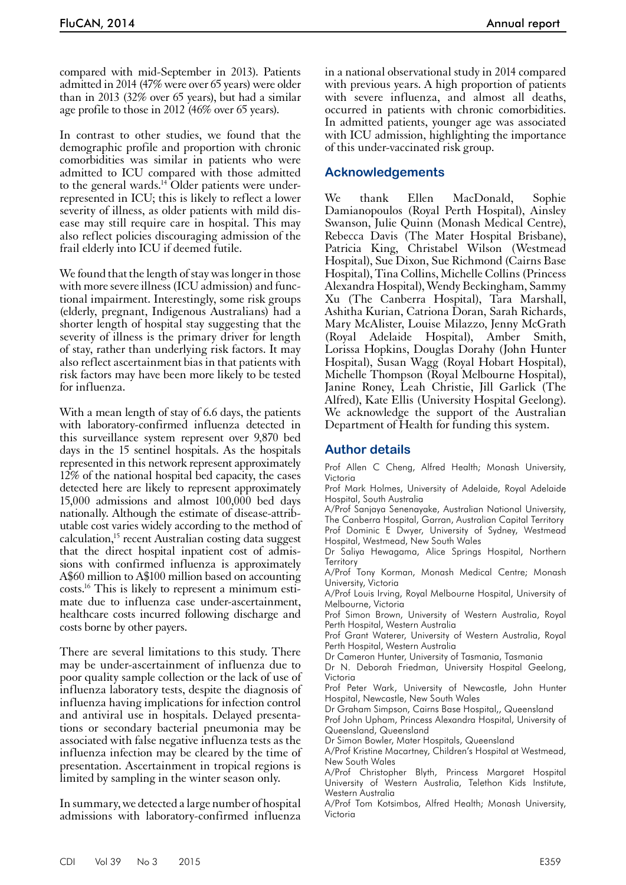compared with mid-September in 2013). Patients admitted in 2014 (47% were over 65 years) were older than in 2013 (32% over 65 years), but had a similar age profile to those in 2012 (46% over 65 years).

In contrast to other studies, we found that the demographic profile and proportion with chronic comorbidities was similar in patients who were admitted to ICU compared with those admitted to the general wards.<sup>14</sup> Older patients were underrepresented in ICU; this is likely to reflect a lower severity of illness, as older patients with mild disease may still require care in hospital. This may also reflect policies discouraging admission of the frail elderly into ICU if deemed futile.

We found that the length of stay was longer in those with more severe illness (ICU admission) and functional impairment. Interestingly, some risk groups (elderly, pregnant, Indigenous Australians) had a shorter length of hospital stay suggesting that the severity of illness is the primary driver for length of stay, rather than underlying risk factors. It may also reflect ascertainment bias in that patients with risk factors may have been more likely to be tested for influenza.

With a mean length of stay of 6.6 days, the patients with laboratory-confirmed influenza detected in this surveillance system represent over 9,870 bed days in the 15 sentinel hospitals. As the hospitals represented in this network represent approximately 12% of the national hospital bed capacity, the cases detected here are likely to represent approximately 15,000 admissions and almost 100,000 bed days nationally. Although the estimate of disease-attrib- utable cost varies widely according to the method of calculation,15 recent Australian costing data suggest that the direct hospital inpatient cost of admis- sions with confirmed influenza is approximately A\$60 million to A\$100 million based on accounting costs.16 This is likely to represent a minimum esti- mate due to influenza case under-ascertainment, healthcare costs incurred following discharge and costs borne by other payers.

There are several limitations to this study. There may be under-ascertainment of influenza due to poor quality sample collection or the lack of use of influenza laboratory tests, despite the diagnosis of influenza having implications for infection control and antiviral use in hospitals. Delayed presenta- tions or secondary bacterial pneumonia may be associated with false negative influenza tests as the influenza infection may be cleared by the time of presentation. Ascertainment in tropical regions is limited by sampling in the winter season only.

In summary, we detected a large number of hospital admissions with laboratory-confirmed influenza

in a national observational study in 2014 compared with previous years. A high proportion of patients with severe influenza, and almost all deaths, occurred in patients with chronic comorbidities. In admitted patients, younger age was associated with ICU admission, highlighting the importance of this under-vaccinated risk group.

# **Acknowledgements**

We thank Ellen MacDonald, Sophie Damianopoulos (Royal Perth Hospital), Ainsley Swanson, Julie Quinn (Monash Medical Centre), Rebecca Davis (The Mater Hospital Brisbane), Patricia King, Christabel Wilson (Westmead Hospital), Sue Dixon, Sue Richmond (Cairns Base Hospital), Tina Collins, Michelle Collins (Princess Alexandra Hospital), Wendy Beckingham, Sammy Xu (The Canberra Hospital), Tara Marshall, Ashitha Kurian, Catriona Doran, Sarah Richards, Mary McAlister, Louise Milazzo, Jenny McGrath (Royal Adelaide Hospital), Amber Smith, Lorissa Hopkins, Douglas Dorahy (John Hunter Hospital), Susan Wagg (Royal Hobart Hospital), Michelle Thompson (Royal Melbourne Hospital), Janine Roney, Leah Christie, Jill Garlick (The Alfred), Kate Ellis (University Hospital Geelong). We acknowledge the support of the Australian Department of Health for funding this system.

# **Author details**

Prof Allen C Cheng, Alfred Health; Monash University, Victoria

Prof Mark Holmes, University of Adelaide, Royal Adelaide Hospital, South Australia

A/Prof Sanjaya Senenayake, Australian National University, The Canberra Hospital, Garran, Australian Capital Territory Prof Dominic E Dwyer, University of Sydney, Westmead Hospital, Westmead, New South Wales

Dr Saliya Hewagama, Alice Springs Hospital, Northern **Territory** 

A/Prof Tony Korman, Monash Medical Centre; Monash University, Victoria

A/Prof Louis Irving, Royal Melbourne Hospital, University of Melbourne, Victoria

Prof Simon Brown, University of Western Australia, Royal Perth Hospital, Western Australia

Prof Grant Waterer, University of Western Australia, Royal Perth Hospital, Western Australia

Dr Cameron Hunter, University of Tasmania, Tasmania

Dr N. Deborah Friedman, University Hospital Geelong, Victoria

Prof Peter Wark, University of Newcastle, John Hunter Hospital, Newcastle, New South Wales

Dr Graham Simpson, Cairns Base Hospital,, Queensland

Prof John Upham, Princess Alexandra Hospital, University of Queensland, Queensland

Dr Simon Bowler, Mater Hospitals, Queensland

A/Prof Kristine Macartney, Children's Hospital at Westmead, New South Wales

A/Prof Christopher Blyth, Princess Margaret Hospital University of Western Australia, Telethon Kids Institute, Western Australia

A/Prof Tom Kotsimbos, Alfred Health; Monash University, Victoria